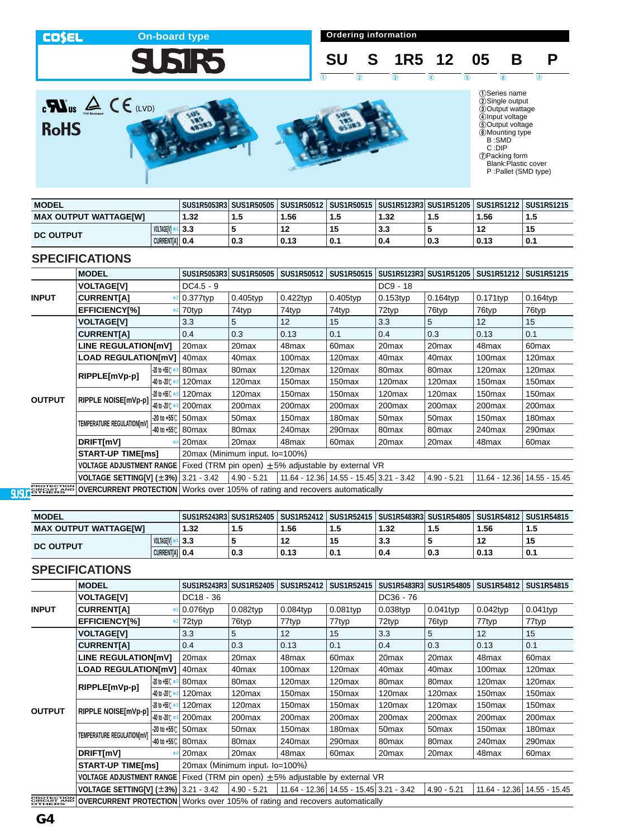**On-board type CO\$EL Ordering information SUS1R5 SU S 1R5 12 05 B P**  $12$   $12$   $13$   $14$   $15$   $15$   $16$   $17$  $\sum_{\text{c}}\sum_{\text{US}}\sum_{\text{Covariance}}\text{C}\in\text{C}$ ①Series name<br>②Single output<br>③Output wattage<br>⑤Dutput voltage<br>⑥Mounting type<br>© :DIP<br>*C*:DIP<br>*D*Packing form<br>*Blank*:Plastic cover<br>*P* :Pallet (SMD type) **RoHS** 

| <b>MODEL</b>          |            | SUS1R5053R3  SUS1R50505   SUS1R50512   SUS1R50515   SUS1R5123R3  SUS1R51205   SUS1R51212   SUS1R51215 |     |      |     |      |     |      |                |
|-----------------------|------------|-------------------------------------------------------------------------------------------------------|-----|------|-----|------|-----|------|----------------|
| MAX OUTPUT WATTAGE[W] |            | 1.32                                                                                                  | 1.5 | .56، | 1.5 | 1.32 | 1.5 | 1.56 | 1.0            |
| DC OUTPUT             | VOLTAGEIVI | 3.3                                                                                                   |     | 12   | 15  | 3.3  |     | 12   |                |
| <b>CURRENTIAI 0.4</b> |            |                                                                                                       | 0.3 | 0.13 | 0.1 | 0.4  | 0.3 | 0.13 | $^{\circ}$ 0.1 |

#### **SPECIFICATIONS**

|                             | <b>MODEL</b>                                                 |                                 | SUS1R5053R3                    | <b>SUS1R50505</b>  | SUS1R50512                                              | SUS1R50515                              | SUS1R5123R3 SUS1R51205 |                    | SUS1R51212   SUS1R51215 |                    |
|-----------------------------|--------------------------------------------------------------|---------------------------------|--------------------------------|--------------------|---------------------------------------------------------|-----------------------------------------|------------------------|--------------------|-------------------------|--------------------|
|                             | <b>VOLTAGE[V]</b>                                            |                                 | $DC4.5 - 9$                    |                    |                                                         |                                         | DC9 - 18               |                    |                         |                    |
| <b>INPUT</b>                | <b>CURRENTIA1</b>                                            |                                 | $0.377$ typ                    | $0.405$ typ        | $0.422$ typ                                             | 0.405typ                                | $0.153$ typ            | $0.164$ typ        | $0.171$ typ             | $0.164$ typ        |
|                             | EFFICIENCY[%]                                                | 索)                              | 70typ                          | 74typ              | 74typ                                                   | 74typ                                   | 72typ                  | 76typ              | 76typ                   | 76typ              |
|                             | <b>VOLTAGE[V]</b>                                            |                                 | 3.3                            | 5                  | 12                                                      | 15                                      | 3.3                    | 5                  | 12                      | 15                 |
|                             | <b>CURRENT[A]</b>                                            |                                 | 0.4                            | 0.3                | 0.13                                                    | 0.1                                     | 0.4                    | 0.3                | 0.13                    | 0.1                |
|                             | LINE REGULATION[mV]                                          |                                 | 20 <sub>max</sub>              | 20max              | 48max                                                   | 60 <sub>max</sub>                       | 20 <sub>max</sub>      | 20max              | 48 <sub>max</sub>       | 60 <sub>max</sub>  |
|                             | <b>LOAD REGULATION[mV]</b>                                   |                                 | 40 <sub>max</sub>              | 40 <sub>max</sub>  | 100 <sub>max</sub>                                      | 120 <sub>max</sub>                      | 40max                  | 40 <sub>max</sub>  | 100max                  | 120 <sub>max</sub> |
|                             | RIPPLE[mVp-p]                                                | $-20$ to +55 C $\ast$ 3         | 80 <sub>max</sub>              | 80 <sub>max</sub>  | 120max                                                  | 120max                                  | 80max                  | 80max              | 120max                  | 120 <sub>max</sub> |
|                             |                                                              | $-40$ to $-20^{\circ}$ :        | 120 <sub>max</sub>             | 120max             | 150max                                                  | 150max                                  | 120max                 | 120 <sub>max</sub> | 150 <sub>max</sub>      | 150max             |
| <b>OUTPUT</b>               | RIPPLE NOISE[mVp-p]                                          | $-20$ to $+55$ $\degree$        | 120 <sub>max</sub>             | 120 <sub>max</sub> | 150 <sub>max</sub>                                      | 150max                                  | 120max                 | 120 <sub>max</sub> | 150 <sub>max</sub>      | 150 <sub>max</sub> |
|                             |                                                              | $-40$ to $-20^{\circ}$ $\kappa$ | 200max                         | 200 <sub>max</sub> | 200 <sub>max</sub>                                      | 200 <sub>max</sub>                      | 200 <sub>max</sub>     | 200 <sub>max</sub> | 200 <sub>max</sub>      | 200 <sub>max</sub> |
|                             | TEMPERATURE REGULATION[mV]                                   | $-20$ to $+55^\circ$            | 50 <sub>max</sub>              | 50 <sub>max</sub>  | 150 <sub>max</sub>                                      | 180max                                  | 50 <sub>max</sub>      | 50 <sub>max</sub>  | 150 <sub>max</sub>      | 180max             |
|                             |                                                              | $-40$ to $+55^\circ$            | 80 <sub>max</sub>              | 80 <sub>max</sub>  | 240max                                                  | 290max                                  | 80max                  | 80 <sub>max</sub>  | 240max                  | 290 <sub>max</sub> |
|                             | DRIFT[mV]                                                    | ÷                               | 20 <sub>max</sub>              | 20 <sub>max</sub>  | 48max                                                   | 60 <sub>max</sub>                       | 20 <sub>max</sub>      | 20 <sub>max</sub>  | 48max                   | 60 <sub>max</sub>  |
|                             | <b>START-UP TIME[ms]</b>                                     |                                 | 20max (Minimum input, lo=100%) |                    |                                                         |                                         |                        |                    |                         |                    |
|                             | <b>VOLTAGE ADJUSTMENT RANGE</b>                              |                                 |                                |                    | Fixed (TRM pin open) $\pm$ 5% adjustable by external VR |                                         |                        |                    |                         |                    |
|                             | <b>VOLTAGE SETTING[V] <math>(\pm 3\%)</math></b> 3.21 - 3.42 |                                 |                                | $4.90 - 5.21$      |                                                         | 11.64 - 12.36 14.55 - 15.45 3.21 - 3.42 |                        | $4.90 - 5.21$      | 11.64 - 12.36           | $14.55 - 15.45$    |
| <b>ERCLIFTION</b><br>OTHERS | <b>OVERCURRENT PROTECTION</b>                                |                                 |                                |                    | Works over 105% of rating and recovers automatically    |                                         |                        |                    |                         |                    |

|                              | <b>MODEL</b>     |                       |     | SUS1R5243R3 SUS1R52405 |      |      | 「SUS1R52412丨SUS1R52415丨SUS1R5483R3Ï SUS1R54805丨 |     | SUS1R54812 | SUS1R54815 |
|------------------------------|------------------|-----------------------|-----|------------------------|------|------|-------------------------------------------------|-----|------------|------------|
| <b>MAX OUTPUT WATTAGE[W]</b> |                  | 1.32                  | 1.5 | .56                    | 1.5  | 1.32 | 1.5                                             | .56 | 1.5        |            |
|                              | VOLTAGEIVI       | 3.3                   |     | 12                     | 15   | J.J  |                                                 | 12  | 15         |            |
|                              | <b>DC OUTPUT</b> | <b>CURRENTIAI 0.4</b> |     | 0.3                    | 0.13 | 0.1  | 0.4                                             | 0.3 | 0.13       | 0.1        |

|                   | <b>MODEL</b>                                                                         |                            | SUS1R5243R3       | <b>SUS1R52405</b>              | <b>SUS1R52412</b>  | <b>SUS1R52415</b>                                       | SUS1R5483R3        | <b>SUS1R54805</b>  | <b>SUS1R54812</b>  | <b>SUS1R54815</b>  |
|-------------------|--------------------------------------------------------------------------------------|----------------------------|-------------------|--------------------------------|--------------------|---------------------------------------------------------|--------------------|--------------------|--------------------|--------------------|
|                   | <b>VOLTAGE[V]</b>                                                                    |                            | DC18 - 36         |                                |                    |                                                         | DC36 - 76          |                    |                    |                    |
| <b>INPUT</b>      | <b>CURRENT[A]</b>                                                                    |                            | $0.076$ typ       | 0.082typ                       | $0.084$ typ        | 0.081typ                                                | $0.038$ typ        | 0.041typ           | $0.042$ typ        | $0.041$ typ        |
|                   | <b>EFFICIENCYI%1</b>                                                                 |                            | 72typ             | 76typ                          | 77typ              | 77typ                                                   | 72typ              | 76typ              | 77typ              | 77typ              |
|                   | <b>VOLTAGE[V]</b>                                                                    |                            | 3.3               | 5                              | 12                 | 15                                                      | 3.3                | 5                  | 12                 | 15                 |
|                   | <b>CURRENTIA1</b>                                                                    |                            | 0.4               | 0.3                            | 0.13               | 0.1                                                     | 0.4                | 0.3                | 0.13               | 0.1                |
|                   | <b>LINE REGULATION[mV]</b>                                                           |                            | 20max             | 20 <sub>max</sub>              | 48max              | 60 <sub>max</sub>                                       | 20 <sub>max</sub>  | 20 <sub>max</sub>  | 48max              | 60max              |
|                   | <b>LOAD REGULATION[mV]</b>                                                           |                            | 40 <sub>max</sub> | 40 <sub>max</sub>              | 100 <sub>max</sub> | 120 <sub>max</sub>                                      | 40 <sub>max</sub>  | 40 <sub>max</sub>  | 100max             | 120 <sub>max</sub> |
|                   | RIPPLE[mVp-p]                                                                        | $-20$ to $+55^\circ$       | 80 <sub>max</sub> | 80 <sub>max</sub>              | 120max             | 120 <sub>max</sub>                                      | 80 <sub>max</sub>  | 80max              | 120max             | 120max             |
|                   |                                                                                      | -40 to -20°C *             | 120max            | 120 <sub>max</sub>             | 150 <sub>max</sub> | 150 <sub>max</sub>                                      | 120 <sub>max</sub> | 120 <sub>max</sub> | 150 <sub>max</sub> | 150max             |
| <b>OUTPUT</b>     | RIPPLE NOISE[mVp-p]                                                                  | $-20$ to $+55$ C $\approx$ | 120max            | 120max                         | 150 <sub>max</sub> | 150max                                                  | 120max             | 120 <sub>max</sub> | 150 <sub>max</sub> | 150max             |
|                   |                                                                                      | -40 to -20℃ *              | 200max            | 200 <sub>max</sub>             | 200max             | 200max                                                  | 200max             | 200max             | 200 <sub>max</sub> | 200 <sub>max</sub> |
|                   | TEMPERATURE REGULATION[mV]                                                           | $-20$ to $+55^\circ$ C     | 50 <sub>max</sub> | 50 <sub>max</sub>              | 150 <sub>max</sub> | 180 <sub>max</sub>                                      | 50 <sub>max</sub>  | 50 <sub>max</sub>  | 150 <sub>max</sub> | 180 <sub>max</sub> |
|                   |                                                                                      | -40 to +55℃                | 80max             | 80 <sub>max</sub>              | 240max             | 290max                                                  | 80 <sub>max</sub>  | 80max              | 240max             | 290max             |
|                   | DRIFT[mV]                                                                            |                            | 20 <sub>max</sub> | 20 <sub>max</sub>              | 48max              | 60 <sub>max</sub>                                       | 20 <sub>max</sub>  | 20 <sub>max</sub>  | 48max              | 60 <sub>max</sub>  |
|                   | <b>START-UP TIME[ms]</b>                                                             |                            |                   | 20max (Minimum input, Io=100%) |                    |                                                         |                    |                    |                    |                    |
|                   | <b>VOLTAGE ADJUSTMENT RANGE</b>                                                      |                            |                   |                                |                    | Fixed (TRM pin open) $\pm$ 5% adjustable by external VR |                    |                    |                    |                    |
|                   | <b>VOLTAGE SETTING[V] <math>(\pm 3\%)</math></b> 3.21 - 3.42                         |                            |                   | $4.90 - 5.21$                  |                    | 11.64 - 12.36 14.55 - 15.45 3.21 - 3.42                 |                    | $4.90 - 5.21$      | 11.64 - 12.36      | 14.55 - 15.45      |
| <b>PROTECTION</b> | <b>OVERCURRENT PROTECTION</b>   Works over 105% of rating and recovers automatically |                            |                   |                                |                    |                                                         |                    |                    |                    |                    |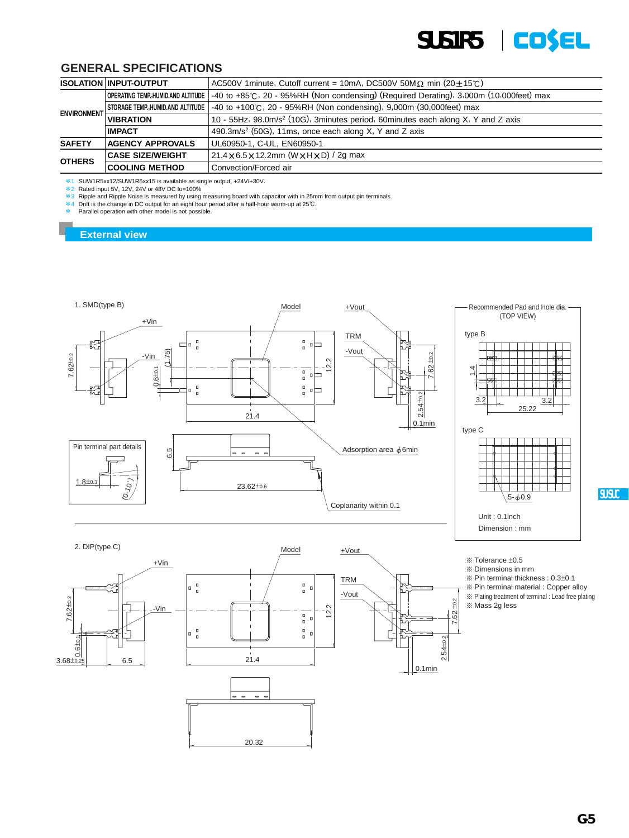

|                    | <b>ISOLATION INPUT-OUTPUT</b> | $AC500V$ 1 minute, Cutoff current = 10 mA, DC500V 50 M $\Omega$ min (20 $\pm$ 15°C)                                         |  |  |  |  |  |  |
|--------------------|-------------------------------|-----------------------------------------------------------------------------------------------------------------------------|--|--|--|--|--|--|
|                    |                               | OPERATING TEMP, HUMID.AND ALTITUDE   -40 to +85°C, 20 - 95%RH (Non condensing) (Required Derating), 3,000m (10,000feet) max |  |  |  |  |  |  |
|                    |                               | STORAGE TEMP, HUMID.AND ALTITUDE $\vert$ -40 to +100°C, 20 - 95%RH (Non condensing), 9,000m (30,000feet) max                |  |  |  |  |  |  |
| <b>ENVIRONMENT</b> | <b>VIBRATION</b>              | 10 - 55Hz, 98.0m/s <sup>2</sup> (10G), 3minutes period, 60minutes each along X, Y and Z axis                                |  |  |  |  |  |  |
|                    | <b>IMPACT</b>                 | 490.3m/s <sup>2</sup> (50G), 11ms, once each along X, Y and Z axis                                                          |  |  |  |  |  |  |
| <b>SAFETY</b>      | <b>AGENCY APPROVALS</b>       | UL60950-1, C-UL, EN60950-1                                                                                                  |  |  |  |  |  |  |
|                    | <b>CASE SIZE/WEIGHT</b>       | 21.4 × 6.5 × 12.2mm (W × H × D) / 2g max                                                                                    |  |  |  |  |  |  |
| <b>OTHERS</b>      | <b>COOLING METHOD</b>         | Convection/Forced air                                                                                                       |  |  |  |  |  |  |

 $*1$  SUW1R5xx12/SUW1R5xx15 is available as single output, +24V/+30V.

\*2 Rated input 5V, 12V, 24V or 48V DC Io=100%

 $*3$  Ripple and Ripple Noise is measured by using measuring board with capacitor with in 25mm from output pin terminals.<br> $*4$  Drift is the change in DC output for an eight hour period after a half-hour warm-up at 25℃.

Parallel operation with other model is not possible.

#### **External view**



- $%$  Pin terminal thickness :  $0.3\pm0.1$
- ¶ Pin terminal material : Copper alloy
- ¶ Plating treatment of terminal : Lead free plating
- ¶ Mass 2g less

2.54±0.2

0.1min

7.62 ±0.2



20.32

**SU.SUC**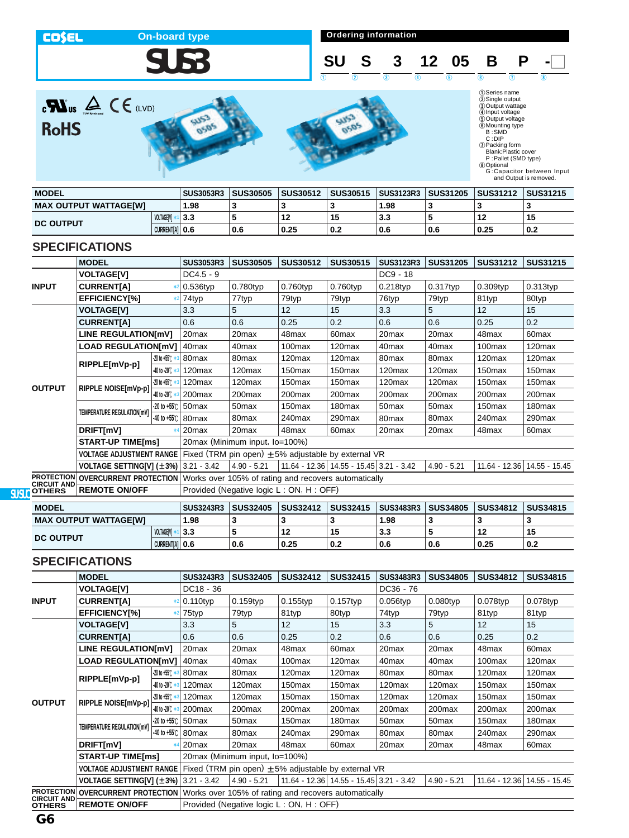**On-board type On-board type On-board type On-board type On-board type On-board type On-board type On-board type On-board type On-board type On-board type On-board type On-board type On-board type COSEL SUS3 SU S 3 12 05 B P -** $\begin{array}{ccc} 1 & 0 & 0 \end{array}$   $\begin{array}{ccc} 1 & 0 & 0 \end{array}$   $\begin{array}{ccc} 1 & 0 & 0 \end{array}$  $\sum_{\text{C}}\sum_{\text{UV}}\sum_{\text{noncong}}\sum_{\text{UV}}\sum_{\text{E}}$ (DSeries name<br>
20 Sungle output voltage<br>
40 Output voltage<br>
50 Output voltage<br>
6 SUMD<br>
B : SMD<br>
C : DIP<br>
C : DIP<br>
(D Packing form<br>
Blank:Plastic cover<br>
P : Pallet (SMD type)<br>
30 Optional<br>
G : Capacitor between Input<br>
and كلات

in5

**RoHS** 





| <b>MODEL</b>                 |                   | <b>SUS3053R3</b> | <b>SUS30505</b> | <b>SUS30512</b> | <b>SUS30515</b> | <b>SUS3123R3</b> | <b>SUS31205</b> | <b>SUS31212</b> | <b>SUS31215</b> |
|------------------------------|-------------------|------------------|-----------------|-----------------|-----------------|------------------|-----------------|-----------------|-----------------|
| <b>MAX OUTPUT WATTAGEIWI</b> |                   | .98              |                 |                 |                 | .98              |                 |                 |                 |
| <b>DC OUTPUT</b>             | <b>VOLTAGEIVI</b> | 3.3              |                 | L               | 15              | -3.3             |                 | 12              | 15              |
|                              | CURRENT[A] 0.6    |                  | 0.6             | 0.25            | 0.2             | 0.6              | 0.6             | 0.25            | ' 0.2           |

## **SPECIFICATIONS**

|                                         | <b>MODEL</b>                                                 |                           | <b>SUS3053R3</b>                                     | <b>SUS30505</b>                | <b>SUS30512</b>                                         | <b>SUS30515</b>                         | SUS3123R3          | <b>SUS31205</b>    | <b>SUS31212</b>    | <b>SUS31215</b>             |  |  |
|-----------------------------------------|--------------------------------------------------------------|---------------------------|------------------------------------------------------|--------------------------------|---------------------------------------------------------|-----------------------------------------|--------------------|--------------------|--------------------|-----------------------------|--|--|
|                                         | <b>VOLTAGE[V]</b>                                            |                           | $DC4.5 - 9$                                          |                                |                                                         |                                         | $DC9 - 18$         |                    |                    |                             |  |  |
| <b>INPUT</b>                            | <b>CURRENT[A]</b>                                            |                           | $0.536$ typ                                          | 0.780typ                       | 0.760typ                                                | $0.760$ typ                             | $0.218$ typ        | 0.317typ           | $0.309$ typ        | 0.313typ                    |  |  |
|                                         | <b>EFFICIENCY[%]</b>                                         |                           | 74typ                                                | 77typ                          | 79typ                                                   | 79typ                                   | 76typ              | 79typ              | 81typ              | 80typ                       |  |  |
|                                         | <b>VOLTAGE[V]</b>                                            |                           | 3.3                                                  | 5                              | 12                                                      | 15                                      | 3.3                | 5                  | 12                 | 15                          |  |  |
|                                         | <b>CURRENT[A]</b>                                            |                           | 0.6                                                  | 0.6                            | 0.25                                                    | 0.2                                     | 0.6                | 0.6                | 0.25               | 0.2                         |  |  |
|                                         | LINE REGULATION[mV]                                          |                           | 20 <sub>max</sub>                                    | 20 <sub>max</sub>              | 48max                                                   | 60 <sub>max</sub>                       | 20 <sub>max</sub>  | 20 <sub>max</sub>  | 48max              | 60 <sub>max</sub>           |  |  |
|                                         | <b>LOAD REGULATION[mV]</b>                                   |                           | 40 <sub>max</sub>                                    | 40max                          | 100max                                                  | 120 <sub>max</sub>                      | 40 <sub>max</sub>  | 40 <sub>max</sub>  | 100max             | 120 <sub>max</sub>          |  |  |
|                                         |                                                              | $-20$ to $+55^\circ$ $*3$ | 80 <sub>max</sub>                                    | 80max                          | 120max                                                  | 120 <sub>max</sub>                      | 80max              | 80max              | 120max             | 120 <sub>max</sub>          |  |  |
|                                         | RIPPLE[mVp-p]                                                | $-40$ to -20 $\degree$    | 120max                                               | 120max                         | 150 <sub>max</sub>                                      | 150 <sub>max</sub>                      | 120 <sub>max</sub> | 120 <sub>max</sub> | 150 <sub>max</sub> | 150 <sub>max</sub>          |  |  |
|                                         | RIPPLE NOISE[mVp-p]                                          | $-20$ to $+55$ ( $*$      | 120 <sub>max</sub>                                   | 120max                         | 150 <sub>max</sub>                                      | 150 <sub>max</sub>                      | 120 <sub>max</sub> | 120max             | 150 <sub>max</sub> | 150 <sub>max</sub>          |  |  |
| <b>OUTPUT</b>                           |                                                              | 40 to -20 C *3            | 200max                                               | 200max                         | 200 <sub>max</sub>                                      | 200max                                  | 200max             | 200 <sub>max</sub> | 200 <sub>max</sub> | 200 <sub>max</sub>          |  |  |
|                                         | TEMPERATURE REGULATION[mV]                                   | $-20$ to $+55^\circ$ C    | 50 <sub>max</sub>                                    | 50 <sub>max</sub>              | 150 <sub>max</sub>                                      | 180 <sub>max</sub>                      | 50 <sub>max</sub>  | 50 <sub>max</sub>  | 150 <sub>max</sub> | 180 <sub>max</sub>          |  |  |
|                                         |                                                              | $-40$ to $+55^\circ$      | 80max                                                | 80 <sub>max</sub>              | 240max                                                  | 290max                                  | 80 <sub>max</sub>  | 80 <sub>max</sub>  | 240max             | 290max                      |  |  |
|                                         | DRIFT[mV]                                                    |                           | 20 <sub>max</sub>                                    | 20max                          | 48max                                                   | 60 <sub>max</sub>                       | 20 <sub>max</sub>  | 20 <sub>max</sub>  | 48max              | 60max                       |  |  |
|                                         | <b>START-UP TIME[ms]</b>                                     |                           |                                                      | 20max (Minimum input, lo=100%) |                                                         |                                         |                    |                    |                    |                             |  |  |
|                                         | <b>VOLTAGE ADJUSTMENT RANGE</b>                              |                           |                                                      |                                | Fixed (TRM pin open) $\pm$ 5% adjustable by external VR |                                         |                    |                    |                    |                             |  |  |
|                                         | <b>VOLTAGE SETTING[V] <math>(\pm 3\%)</math></b> 3.21 - 3.42 |                           |                                                      | $4.90 - 5.21$                  |                                                         | 11.64 - 12.36 14.55 - 15.45 3.21 - 3.42 |                    | $4.90 - 5.21$      |                    | 11.64 - 12.36 14.55 - 15.45 |  |  |
| <b>PROTECTION</b><br><b>CIRCUIT AND</b> | <b>OVERCURRENT PROTECTION</b>                                |                           | Works over 105% of rating and recovers automatically |                                |                                                         |                                         |                    |                    |                    |                             |  |  |
| <b>OTHERS</b>                           | <b>REMOTE ON/OFF</b>                                         |                           | Provided (Negative logic L: ON, H: OFF)              |                                |                                                         |                                         |                    |                    |                    |                             |  |  |

| <b>MODEL</b>                 |                | <b>SUS3243R3</b> | <b>SUS32405</b> | <b>SUS32412</b> | <b>SUS32415</b> | <b>SUS3483R3</b> | <b>SUS34805</b> | <b>SUS34812</b> | <b>SUS34815</b> |
|------------------------------|----------------|------------------|-----------------|-----------------|-----------------|------------------|-----------------|-----------------|-----------------|
| <b>MAX OUTPUT WATTAGE[W]</b> |                | 98. ا            | ×               |                 |                 | 1.98             |                 |                 |                 |
| <b>DC OUTPUT</b>             | VOLTAGEIV      | 3.3              |                 | 12              | 15              | ົ<br>J.J         |                 | 12              | 15              |
|                              | CURRENT[A] 0.6 |                  | 0.6             | 0.25            | 0.2             | 0.6              | 0.6             | 0.25            | 0.2             |

|                                         | <b>MODEL</b>                         |                                   | <b>SUS3243R3</b>                                     | <b>SUS32405</b>                | <b>SUS32412</b>                                          | <b>SUS32415</b>                         | <b>SUS3483R3</b>   | <b>SUS34805</b>    | <b>SUS34812</b>    | <b>SUS34815</b>               |  |
|-----------------------------------------|--------------------------------------|-----------------------------------|------------------------------------------------------|--------------------------------|----------------------------------------------------------|-----------------------------------------|--------------------|--------------------|--------------------|-------------------------------|--|
|                                         | <b>VOLTAGE[V]</b>                    |                                   | DC18 - 36                                            |                                |                                                          |                                         | $DC36 - 76$        |                    |                    |                               |  |
| <b>INPUT</b>                            | <b>CURRENTIA1</b>                    |                                   | $*2$ 0.110typ                                        | 0.159typ                       | $0.155$ typ                                              | $0.157$ typ                             | $0.056$ typ        | $0.080$ typ        | $0.078$ typ        | 0.078typ                      |  |
|                                         | <b>EFFICIENCYI%1</b>                 | $*2$                              | 75typ                                                | 79typ                          | 81typ                                                    | 80typ                                   | 74typ              | 79typ              | 81typ              | 81typ                         |  |
|                                         | <b>VOLTAGE[V]</b>                    |                                   | 3.3                                                  | 5                              | 12                                                       | 15                                      | 3.3                | 5                  | 12                 | 15                            |  |
|                                         | <b>CURRENTIA1</b>                    |                                   | 0.6                                                  | 0.6                            | 0.25                                                     | 0.2                                     | 0.6                | 0.6                | 0.25               | 0.2                           |  |
|                                         | <b>LINE REGULATION[mV]</b>           |                                   | 20 <sub>max</sub>                                    | 20 <sub>max</sub>              | 48max                                                    | 60 <sub>max</sub>                       | 20 <sub>max</sub>  | 20 <sub>max</sub>  | 48max              | 60 <sub>max</sub>             |  |
|                                         | <b>LOAD REGULATION[mV]</b>           |                                   | 40 <sub>max</sub>                                    | 40 <sub>max</sub>              | 100 <sub>max</sub>                                       | 120 <sub>max</sub>                      | 40 <sub>max</sub>  | 40 <sub>max</sub>  | 100 <sub>max</sub> | 120 <sub>max</sub>            |  |
|                                         | RIPPLE[mVp-p]                        | $-20$ to $+55$ $C \ast 3$         | 80max                                                | 80max                          | 120 <sub>max</sub>                                       | 120 <sub>max</sub>                      | 80 <sub>max</sub>  | 80 <sub>max</sub>  | 120 <sub>max</sub> | 120 <sub>max</sub>            |  |
|                                         |                                      | $-40$ to $-20$ $\mathcal{C}$ $*3$ | 120 <sub>max</sub>                                   | 120 <sub>max</sub>             | 150 <sub>max</sub>                                       | 150 <sub>max</sub>                      | 120 <sub>max</sub> | 120 <sub>max</sub> | 150 <sub>max</sub> | 150 <sub>max</sub>            |  |
| <b>OUTPUT</b>                           | RIPPLE NOISE[mVp-p]                  | $-20$ to $+55^\circ$ $*3$         | 120 <sub>max</sub>                                   | 120 <sub>max</sub>             | 150 <sub>max</sub>                                       | 150 <sub>max</sub>                      | 120 <sub>max</sub> | 120max             | 150 <sub>max</sub> | 150 <sub>max</sub>            |  |
|                                         |                                      | 40 to -20°C *                     | 200max                                               | 200max                         | 200max                                                   | 200 <sub>max</sub>                      | 200 <sub>max</sub> | 200 <sub>max</sub> | 200max             | 200max                        |  |
|                                         | TEMPERATURE REGULATION[mV]           |                                   | $-20$ to $+55$ °C 50 max                             | 50 <sub>max</sub>              | 150 <sub>max</sub>                                       | 180 <sub>max</sub>                      | 50 <sub>max</sub>  | 50 <sub>max</sub>  | 150 <sub>max</sub> | 180 <sub>max</sub>            |  |
|                                         |                                      |                                   | -40 to +55℃ 80 max                                   | 80 <sub>max</sub>              | 240max                                                   | 290 <sub>max</sub>                      | 80max              | 80 <sub>max</sub>  | 240max             | 290max                        |  |
|                                         | DRIFT[mV]                            |                                   | 20 <sub>max</sub>                                    | 20 <sub>max</sub>              | 48max                                                    | 60 <sub>max</sub>                       | 20 <sub>max</sub>  | 20 <sub>max</sub>  | 48max              | 60 <sub>max</sub>             |  |
|                                         | <b>START-UP TIME[ms]</b>             |                                   |                                                      | 20max (Minimum input, Io=100%) |                                                          |                                         |                    |                    |                    |                               |  |
|                                         | <b>VOLTAGE ADJUSTMENT RANGE</b>      |                                   |                                                      |                                | Fixed (TRM pin open) $\pm 5\%$ adjustable by external VR |                                         |                    |                    |                    |                               |  |
|                                         | VOLTAGE SETTING[V] (±3%) 3.21 - 3.42 |                                   |                                                      | $4.90 - 5.21$                  |                                                          | 11.64 - 12.36 14.55 - 15.45 3.21 - 3.42 |                    | $4.90 - 5.21$      |                    | 11.64 - 12.36   14.55 - 15.45 |  |
| <b>PROTECTION</b><br><b>CIRCUIT AND</b> | <b>OVERCURRENT PROTECTION</b>        |                                   | Works over 105% of rating and recovers automatically |                                |                                                          |                                         |                    |                    |                    |                               |  |
| <b>OTHERS</b>                           | <b>REMOTE ON/OFF</b>                 |                                   | Provided (Negative logic L: ON, H: OFF)              |                                |                                                          |                                         |                    |                    |                    |                               |  |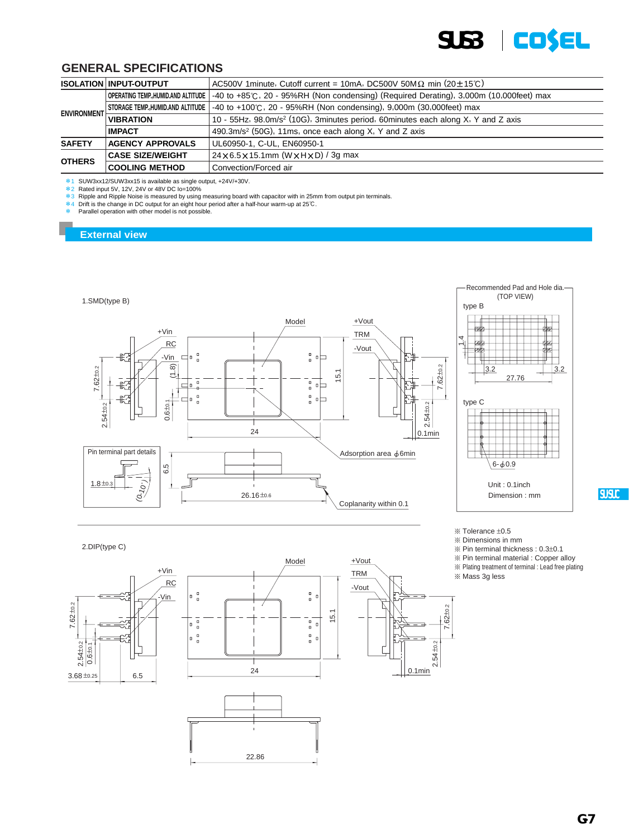

|                    | <b>ISOLATION INPUT-OUTPUT</b>      | AC500V 1minute, Cutoff current = 10mA, DC500V 50M $\Omega$ min (20 $\pm$ 15°C)                 |  |  |  |  |  |  |
|--------------------|------------------------------------|------------------------------------------------------------------------------------------------|--|--|--|--|--|--|
|                    | OPERATING TEMP, HUMID.AND ALTITUDE | $\vert$ -40 to +85°C, 20 - 95%RH (Non condensing) (Required Derating), 3,000m (10,000feet) max |  |  |  |  |  |  |
|                    | STORAGE TEMP.,HUMID.AND ALTITUDE   | -40 to +100℃, 20 - 95%RH (Non condensing), 9,000m (30,000feet) max                             |  |  |  |  |  |  |
| <b>ENVIRONMENT</b> | <b>VIBRATION</b>                   | 10 - 55Hz, 98.0m/s <sup>2</sup> (10G), 3minutes period, 60minutes each along X, Y and Z axis   |  |  |  |  |  |  |
|                    | <b>IMPACT</b>                      | 490.3m/s <sup>2</sup> (50G), 11ms, once each along X, Y and Z axis                             |  |  |  |  |  |  |
| <b>SAFETY</b>      | <b>AGENCY APPROVALS</b>            | UL60950-1, C-UL, EN60950-1                                                                     |  |  |  |  |  |  |
|                    | <b>CASE SIZE/WEIGHT</b>            | $24 \times 6.5 \times 15.1$ mm (W $\times$ H $\times$ D) / 3g max                              |  |  |  |  |  |  |
| <b>OTHERS</b>      | <b>COOLING METHOD</b>              | Convection/Forced air                                                                          |  |  |  |  |  |  |

\* 1 SUW3xx12/SUW3xx15 is available as single output, +24V/+30V.<br>\*2 Rated input 5V, 12V, 24V or 48V DC lo=100%<br>\*3 Ripple and Ripple Noise is measured by using measuring board with capacitor with in 25mm from output pin te

Parallel operation with other model is not possible.

#### **External view**

2.DIP(type C)



 $%$  Tolerance  $±0.5$ 

¶ Dimensions in mm

 $%$  Pin terminal thickness : 0.3 $\pm$ 0.1

- ¶ Pin terminal material : Copper alloy
- ¶ Plating treatment of terminal : Lead free plating

¶ Mass 3g less







**SU.SUC**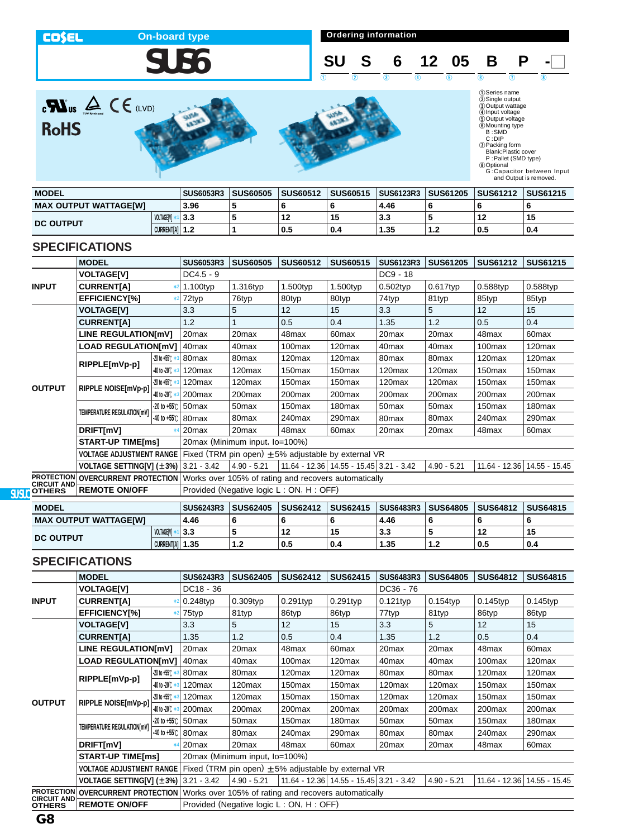**COSEL** 

# **SUS6**

**On-board type On-board type Ordering information** 



 $\mathbf{R}$ us  $\mathbf{A} \in \mathbb{C}$  (LVD) **RoHS** 







| <b>MODEL</b>                 |                | <b>SUS6053R3</b> | <b>SUS60505</b> | <b>SUS60512</b> | <b>SUS60515</b> | <b>SUS6123R3</b> | <b>SUS61205</b> | <b>SUS61212</b> | <b>SUS61215</b> |
|------------------------------|----------------|------------------|-----------------|-----------------|-----------------|------------------|-----------------|-----------------|-----------------|
| <b>MAX OUTPUT WATTAGE[W]</b> |                | 3.96             |                 |                 |                 | 4.46             |                 |                 |                 |
| <b>DC OUTPUT</b>             | VOLTAGEIVI     | 3.3              |                 |                 | 15              | 3.3              |                 | 12              | 15              |
|                              | CURRENT[A] 1.2 |                  |                 | 0.5             | 0.4             | 1.35             | 1.2             | 0.5             | 0.4             |

## **SPECIFICATIONS**

|                                         | <b>MODEL</b>                                                 |                      | <b>SUS6053R3</b>                                     | <b>SUS60505</b>                | <b>SUS60512</b>                                          | <b>SUS60515</b>                         | <b>SUS6123R3</b>   | <b>SUS61205</b>    | <b>SUS61212</b>    | <b>SUS61215</b>             |  |  |
|-----------------------------------------|--------------------------------------------------------------|----------------------|------------------------------------------------------|--------------------------------|----------------------------------------------------------|-----------------------------------------|--------------------|--------------------|--------------------|-----------------------------|--|--|
|                                         | <b>VOLTAGE[V]</b>                                            |                      | $DC4.5 - 9$                                          |                                |                                                          |                                         | DC9 - 18           |                    |                    |                             |  |  |
| <b>INPUT</b>                            | <b>CURRENT[A]</b>                                            |                      | 1.100typ                                             | 1.316typ                       | 1.500typ                                                 | 1.500typ                                | $0.502$ typ        | $0.617$ typ        | $0.588$ typ        | $0.588$ typ                 |  |  |
|                                         | <b>EFFICIENCY[%]</b>                                         |                      | 72typ                                                | 76typ                          | 80typ                                                    | 80typ                                   | 74typ              | 81typ              | 85typ              | 85typ                       |  |  |
|                                         | <b>VOLTAGE[V]</b>                                            |                      | 3.3                                                  | 5                              | 12                                                       | 15                                      | 3.3                | 5                  | 12                 | 15                          |  |  |
|                                         | <b>CURRENT[A]</b>                                            |                      | 1.2                                                  |                                | 0.5                                                      | 0.4                                     | 1.35               | 1.2                | 0.5                | 0.4                         |  |  |
|                                         | <b>LINE REGULATION[mV]</b>                                   |                      | 20 <sub>max</sub>                                    | 20max                          | 48max                                                    | 60 <sub>max</sub>                       | 20max              | 20 <sub>max</sub>  | 48max              | 60 <sub>max</sub>           |  |  |
|                                         | <b>LOAD REGULATION[mV]</b>                                   |                      | 40 <sub>max</sub>                                    | 40 <sub>max</sub>              | 100max                                                   | 120 <sub>max</sub>                      | 40 <sub>max</sub>  | 40 <sub>max</sub>  | 100max             | 120 <sub>max</sub>          |  |  |
|                                         |                                                              | $-20$ to +55 $C$ $*$ | 80 <sub>max</sub>                                    | 80 <sub>max</sub>              | 120max                                                   | 120 <sub>max</sub>                      | 80 <sub>max</sub>  | 80 <sub>max</sub>  | 120max             | 120 <sub>max</sub>          |  |  |
|                                         | RIPPLE[mVp-p]                                                | 40 to -20 C *        | 120max                                               | 120max                         | 150 <sub>max</sub>                                       | 150 <sub>max</sub>                      | 120 <sub>max</sub> | 120max             | 150 <sub>max</sub> | 150 <sub>max</sub>          |  |  |
|                                         | RIPPLE NOISE[mVp-p]                                          | $-20$ to $+55$ ( $*$ | 120max                                               | 120max                         | 150 <sub>max</sub>                                       | 150max                                  | 120 <sub>max</sub> | 120max             | 150 <sub>max</sub> | 150 <sub>max</sub>          |  |  |
| <b>OUTPUT</b>                           |                                                              | 40 to -20 C *        | 200max                                               | 200 <sub>max</sub>             | 200 <sub>max</sub>                                       | 200max                                  | 200 <sub>max</sub> | 200 <sub>max</sub> | 200 <sub>max</sub> | 200max                      |  |  |
|                                         | TEMPERATURE REGULATION[mV]                                   | $-20$ to $+55^\circ$ | 50 <sub>max</sub>                                    | 50 <sub>max</sub>              | 150 <sub>max</sub>                                       | 180 <sub>max</sub>                      | 50 <sub>max</sub>  | 50 <sub>max</sub>  | 150 <sub>max</sub> | 180 <sub>max</sub>          |  |  |
|                                         |                                                              | $-40$ to $+55^\circ$ | 80 <sub>max</sub>                                    | 80max                          | 240max                                                   | 290max                                  | 80 <sub>max</sub>  | 80 <sub>max</sub>  | 240max             | 290max                      |  |  |
|                                         | DRIFT[mV]                                                    |                      | 20 <sub>max</sub>                                    | 20 <sub>max</sub>              | 48max                                                    | 60 <sub>max</sub>                       | 20 <sub>max</sub>  | 20 <sub>max</sub>  | 48max              | 60max                       |  |  |
|                                         | <b>START-UP TIME[ms]</b>                                     |                      |                                                      | 20max (Minimum input, lo=100%) |                                                          |                                         |                    |                    |                    |                             |  |  |
|                                         | <b>VOLTAGE ADJUSTMENT RANGE</b>                              |                      |                                                      |                                | Fixed (TRM pin open) $\pm 5\%$ adjustable by external VR |                                         |                    |                    |                    |                             |  |  |
|                                         | <b>VOLTAGE SETTING[V] <math>(\pm 3\%)</math></b> 3.21 - 3.42 |                      |                                                      | $4.90 - 5.21$                  |                                                          | 11.64 - 12.36 14.55 - 15.45 3.21 - 3.42 |                    | $4.90 - 5.21$      |                    | 11.64 - 12.36 14.55 - 15.45 |  |  |
| <b>PROTECTION</b><br><b>CIRCUIT AND</b> | <b>OVERCURRENT PROTECTION</b>                                |                      | Works over 105% of rating and recovers automatically |                                |                                                          |                                         |                    |                    |                    |                             |  |  |
| <b>OTHERS</b>                           | <b>REMOTE ON/OFF</b>                                         |                      |                                                      |                                | Provided (Negative logic L: ON, H: OFF)                  |                                         |                    |                    |                    |                             |  |  |

| <b>MODEL</b>                 |                   | <b>SUS6243R3</b> | <b>SUS62405</b> | <b>SUS62412</b> | <b>SUS62415</b> | <b>SUS6483R3</b> | <b>SUS64805</b> | <b>SUS64812</b> | <b>SUS64815</b> |
|------------------------------|-------------------|------------------|-----------------|-----------------|-----------------|------------------|-----------------|-----------------|-----------------|
| <b>MAX OUTPUT WATTAGE[W]</b> |                   | 4.46             |                 |                 |                 | 4.46             |                 |                 |                 |
|                              | <b>VOLTAGEIVI</b> | 3.3              |                 | 12              | 15              | ა.ა              |                 | 12              | 19              |
| <b>DC OUTPUT</b>             | CURRENTIAI 1.35   |                  |                 | 0.5             | 0.4             | 35.،             | 1.2             | 0.5             | 0.4             |

|                                     | <b>MODEL</b>                                                 |                           | <b>SUS6243R3</b>           | <b>SUS62405</b>                | <b>SUS62412</b>                                          | <b>SUS62415</b>                             | <b>SUS6483R3</b>   | <b>SUS64805</b>    | <b>SUS64812</b>    | <b>SUS64815</b>               |
|-------------------------------------|--------------------------------------------------------------|---------------------------|----------------------------|--------------------------------|----------------------------------------------------------|---------------------------------------------|--------------------|--------------------|--------------------|-------------------------------|
|                                     | <b>VOLTAGE[V]</b>                                            |                           | DC18 - 36                  |                                |                                                          |                                             | DC36 - 76          |                    |                    |                               |
| <b>INPUT</b>                        | <b>CURRENTIA1</b>                                            |                           | 0.248typ                   | $0.309$ typ                    | $0.291$ typ                                              | $0.291$ typ                                 | 0.121typ           | $0.154$ typ        | $0.145$ typ        | $0.145$ typ                   |
|                                     | <b>EFFICIENCYI%1</b>                                         |                           | 75typ                      | 81typ                          | 86typ                                                    | 86typ                                       | 77typ              | 81typ              | 86typ              | 86typ                         |
|                                     | <b>VOLTAGE[V]</b>                                            |                           | 3.3                        | 5                              | 12                                                       | 15                                          | 3.3                | 5                  | 12                 | 15                            |
|                                     | <b>CURRENTIA1</b>                                            |                           | 1.35                       | 1.2                            | 0.5                                                      | 0.4                                         | 1.35               | 1.2                | 0.5                | 0.4                           |
|                                     | <b>LINE REGULATION[mV]</b>                                   |                           | 20 <sub>max</sub>          | 20max                          | 48max                                                    | 60 <sub>max</sub>                           | 20 <sub>max</sub>  | 20 <sub>max</sub>  | 48max              | 60 <sub>max</sub>             |
|                                     | <b>LOAD REGULATION[mV]</b>                                   |                           | 40 <sub>max</sub>          | 40 <sub>max</sub>              | 100max                                                   | 120max                                      | 40 <sub>max</sub>  | 40 <sub>max</sub>  | 100 <sub>max</sub> | 120 <sub>max</sub>            |
|                                     | RIPPLE[mVp-p]                                                | $-20$ to $+55^\circ$      | 80 <sub>max</sub>          | 80 <sub>max</sub>              | 120 <sub>max</sub>                                       | 120max                                      | 80 <sub>max</sub>  | 80 <sub>max</sub>  | 120 <sub>max</sub> | 120 <sub>max</sub>            |
|                                     |                                                              | 40 to -20 C *             | 120 <sub>max</sub>         | 120 <sub>max</sub>             | 150max                                                   | 150 <sub>max</sub>                          | 120 <sub>max</sub> | 120 <sub>max</sub> | 150 <sub>max</sub> | 150 <sub>max</sub>            |
| <b>OUTPUT</b>                       | RIPPLE NOISE[mVp-p]                                          | $-20$ to $+55^\circ$ $*3$ | 120 <sub>max</sub>         | 120 <sub>max</sub>             | 150 <sub>max</sub>                                       | 150 <sub>max</sub>                          | 120max             | 120 <sub>max</sub> | 150 <sub>max</sub> | 150 <sub>max</sub>            |
|                                     |                                                              | -40 to -20°C              | 200 <sub>max</sub>         | 200 <sub>max</sub>             | 200 <sub>max</sub>                                       | 200 <sub>max</sub>                          | 200max             | 200 <sub>max</sub> | 200 <sub>max</sub> | 200max                        |
|                                     |                                                              |                           | $-20$ to $+55$ °C 50 max   | 50 <sub>max</sub>              | 150 <sub>max</sub>                                       | 180 <sub>max</sub>                          | 50 <sub>max</sub>  | 50 <sub>max</sub>  | 150 <sub>max</sub> | 180 <sub>max</sub>            |
|                                     | TEMPERATURE REGULATION[mV]                                   |                           | $-40$ to $+55$ °C   80 max | 80 <sub>max</sub>              | 240 <sub>max</sub>                                       | 290max                                      | 80 <sub>max</sub>  | 80 <sub>max</sub>  | 240max             | 290max                        |
|                                     | DRIFT[mV]                                                    |                           | 20 <sub>max</sub>          | 20 <sub>max</sub>              | 48max                                                    | 60 <sub>max</sub>                           | 20 <sub>max</sub>  | 20 <sub>max</sub>  | 48max              | 60 <sub>max</sub>             |
|                                     | <b>START-UP TIME[ms]</b>                                     |                           |                            | 20max (Minimum input, lo=100%) |                                                          |                                             |                    |                    |                    |                               |
|                                     | <b>VOLTAGE ADJUSTMENT RANGE</b>                              |                           |                            |                                | Fixed (TRM pin open) $\pm 5\%$ adjustable by external VR |                                             |                    |                    |                    |                               |
|                                     | <b>VOLTAGE SETTING[V] <math>(\pm 3\%)</math></b> 3.21 - 3.42 |                           |                            | $4.90 - 5.21$                  |                                                          | 11.64 - 12.36   14.55 - 15.45   3.21 - 3.42 |                    | $4.90 - 5.21$      |                    | 11.64 - 12.36   14.55 - 15.45 |
| <b>PROTECTION</b>                   | <b>OVERCURRENT PROTECTION</b>                                |                           |                            |                                | Works over 105% of rating and recovers automatically     |                                             |                    |                    |                    |                               |
| <b>CIRCUIT AND</b><br><b>OTHERS</b> | <b>REMOTE ON/OFF</b>                                         |                           |                            |                                | Provided (Negative logic L: ON, H: OFF)                  |                                             |                    |                    |                    |                               |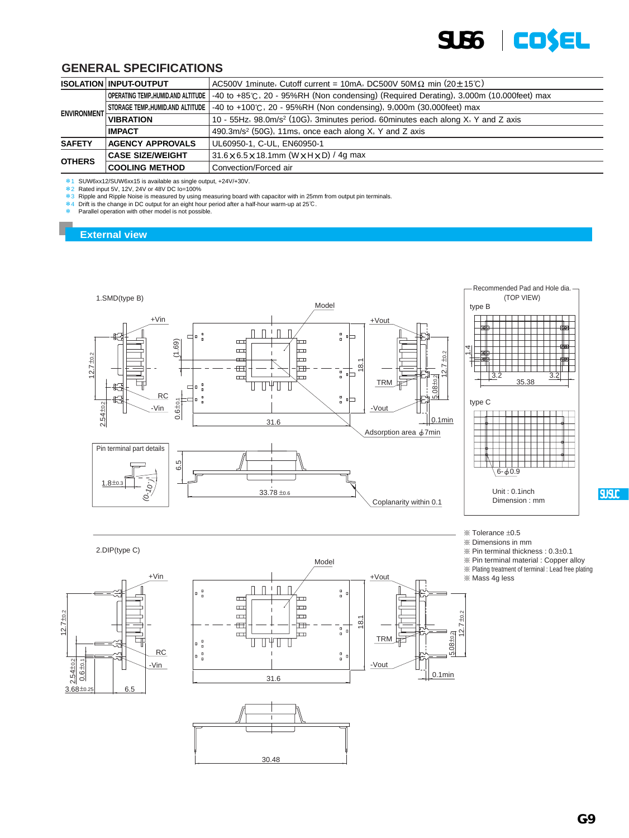

|                    | AC500V 1minute, Cutoff current = 10mA, DC500V 50M $\Omega$ min (20 $\pm$ 15°C)<br><b>ISOLATION INPUT-OUTPUT</b> |                                                                                                    |  |  |  |  |  |
|--------------------|-----------------------------------------------------------------------------------------------------------------|----------------------------------------------------------------------------------------------------|--|--|--|--|--|
|                    | OPERATING TEMP, HUMID.AND ALTITUDE                                                                              | $-40$ to $+85^{\circ}$ C, 20 - 95%RH (Non condensing) (Required Derating), 3,000m (10,000feet) max |  |  |  |  |  |
| <b>ENVIRONMENT</b> | STORAGE TEMP.,HUMID.AND ALTITUDE                                                                                | $-40$ to $+100^{\circ}$ C, 20 - 95%RH (Non condensing), 9,000m (30,000feet) max                    |  |  |  |  |  |
|                    | <b>VIBRATION</b>                                                                                                | 10 - 55Hz, 98.0m/s <sup>2</sup> (10G), 3minutes period, 60minutes each along X, Y and Z axis       |  |  |  |  |  |
|                    | <b>IMPACT</b>                                                                                                   | 490.3m/s <sup>2</sup> (50G), 11ms, once each along X, Y and Z axis                                 |  |  |  |  |  |
| <b>SAFETY</b>      | <b>AGENCY APPROVALS</b>                                                                                         | UL60950-1, C-UL, EN60950-1                                                                         |  |  |  |  |  |
| <b>OTHERS</b>      | <b>CASE SIZE/WEIGHT</b>                                                                                         | $31.6 \times 6.5 \times 18.1$ mm (W $\times$ H $\times$ D) / 4g max                                |  |  |  |  |  |
|                    | <b>COOLING METHOD</b>                                                                                           | Convection/Forced air                                                                              |  |  |  |  |  |

 $*1$  SUW6xx12/SUW6xx15 is available as single output, +24V/+30V.<br> $*2$  Rated input 5V, 12V, 24V or 48V DC lo=100%

 $*3$  Ripple and Ripple Noise is measured by using measuring board with capacitor with in 25mm from output pin terminals.<br> $*4$  Drift is the change in DC output for an eight hour period after a half-hour warm-up at 25℃.

Parallel operation with other model is not possible.

#### **External view**













 $%$  Tolerance  $±0.5$ 

¶ Dimensions in mm

 $%$  Pin terminal thickness :  $0.3\pm0.1$ 

 $%$  Pin terminal material : Copper alloy

¶ Plating treatment of terminal : Lead free plating

¶ Mass 4g less

**SU.SUC**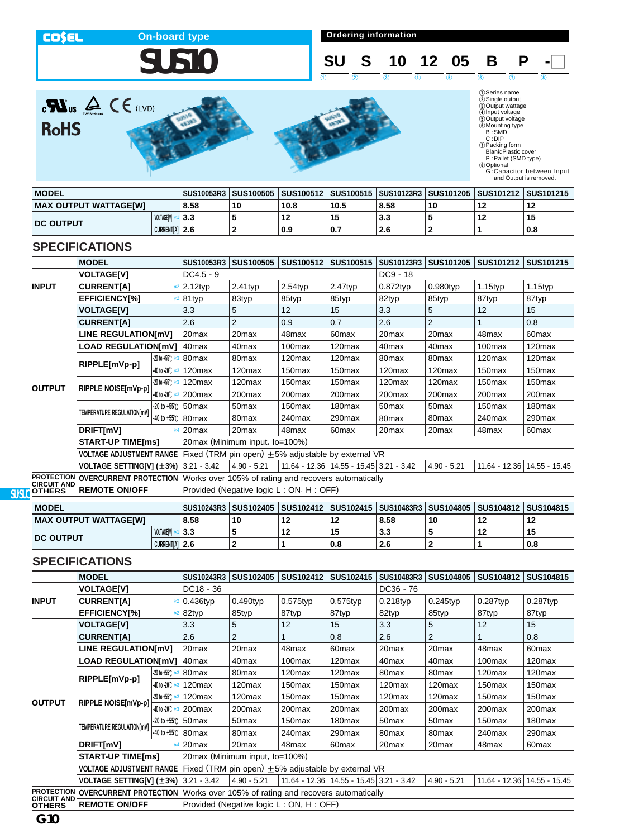**COSEL** 

**On-board type On-board type On-board type On-board type On-board type On-board type On-board type On-board type On-board type On-board type On-board type On-board type On-board type On-board type** 



**SU S 10 12 05 B P** -

 $\begin{array}{ccc} 1 & 0 & 0 \end{array}$   $\begin{array}{ccc} 1 & 0 & 0 \end{array}$   $\begin{array}{ccc} 1 & 0 & 0 \end{array}$ 

 $\sum_{\text{C}}\sum_{\text{UV}}\sum_{\text{noncong}}\sum_{\text{UV}}\sum_{\text{E}}$ **RoHS** 





| <b>MODEL</b>                 |                   | SUS10053R3   SUS100505   SUS100512   SUS100515   SUS10123R3   SUS101205   SUS101212   SUS101215 |    |      |      |      |    |    |     |
|------------------------------|-------------------|-------------------------------------------------------------------------------------------------|----|------|------|------|----|----|-----|
| <b>MAX OUTPUT WATTAGE[W]</b> |                   | 8.58                                                                                            | 10 | 10.8 | 10.5 | 8.58 | 10 | 12 |     |
|                              | <b>VOLTAGEIVI</b> | 3.3                                                                                             |    | 12   | 15   | 3.3  |    | 12 |     |
| <b>DC OUTPUT</b>             | CURRENT[A] 2.6    |                                                                                                 |    | 0.9  | 0.7  | 2.6  |    |    | 0.8 |

#### **SPECIFICATIONS**

|                                         | <b>MODEL</b>                                                 |                                | SUS10053R3                                           | <b>SUS100505</b>   | SUS100512                                               | SUS100515                                   | SUS10123R3         | <b>SUS101205</b>   | SUS101212          | SUS101215                     |  |  |
|-----------------------------------------|--------------------------------------------------------------|--------------------------------|------------------------------------------------------|--------------------|---------------------------------------------------------|---------------------------------------------|--------------------|--------------------|--------------------|-------------------------------|--|--|
|                                         | <b>VOLTAGE[V]</b>                                            |                                | $DC4.5 - 9$                                          |                    |                                                         |                                             | DC9 - 18           |                    |                    |                               |  |  |
| <b>INPUT</b>                            | <b>CURRENT[A]</b>                                            |                                | $2.12$ typ                                           | $2.41$ typ         | $2.54$ typ                                              | $2.47$ typ                                  | $0.872$ typ        | $0.980$ typ        | $1.15$ typ         | $1.15$ typ                    |  |  |
|                                         | <b>EFFICIENCY[%]</b>                                         |                                | 81typ                                                | 83typ              | 85typ                                                   | 85typ                                       | 82typ              | 85typ              | 87typ              | 87typ                         |  |  |
|                                         | <b>VOLTAGE[V]</b>                                            |                                | 3.3                                                  | 5                  | 12                                                      | 15                                          | 3.3                | 5                  | 12                 | 15                            |  |  |
|                                         | <b>CURRENT[A]</b>                                            |                                | 2.6                                                  | $\overline{2}$     | 0.9                                                     | 0.7                                         | 2.6                | $\overline{2}$     |                    | 0.8                           |  |  |
|                                         | <b>LINE REGULATION[mV]</b>                                   |                                | 20 <sub>max</sub>                                    | 20max              | 48max                                                   | 60 <sub>max</sub>                           | 20 <sub>max</sub>  | 20 <sub>max</sub>  | 48max              | 60 <sub>max</sub>             |  |  |
|                                         | <b>LOAD REGULATION[mV]</b>                                   |                                | 40max                                                | 40max              | 100max                                                  | 120 <sub>max</sub>                          | 40 <sub>max</sub>  | 40max              | 100max             | 120max                        |  |  |
|                                         | RIPPLE[mVp-p]                                                | $-20$ to $+55^\circ$ $+3$      | 80 <sub>max</sub>                                    | 80max              | 120 <sub>max</sub>                                      | 120 <sub>max</sub>                          | 80 <sub>max</sub>  | 80max              | 120 <sub>max</sub> | 120 <sub>max</sub>            |  |  |
|                                         |                                                              | $-40$ to -20 $\degree$ $\cdot$ | 120max                                               | 120 <sub>max</sub> | 150 <sub>max</sub>                                      | 150 <sub>max</sub>                          | 120 <sub>max</sub> | 120 <sub>max</sub> | 150 <sub>max</sub> | 150 <sub>max</sub>            |  |  |
|                                         | RIPPLE NOISE[mVp-p]                                          | $-20$ to $+55$ ( $*$           | 120 <sub>max</sub>                                   | 120 <sub>max</sub> | 150 <sub>max</sub>                                      | 150 <sub>max</sub>                          | 120 <sub>max</sub> | 120 <sub>max</sub> | 150 <sub>max</sub> | 150 <sub>max</sub>            |  |  |
| <b>OUTPUT</b>                           |                                                              | 40 to -20 C *                  | 200 <sub>max</sub>                                   | 200 <sub>max</sub> | 200 <sub>max</sub>                                      | 200 <sub>max</sub>                          | 200 <sub>max</sub> | 200max             | 200 <sub>max</sub> | 200max                        |  |  |
|                                         | TEMPERATURE REGULATION[mV]                                   | $-20$ to $+55^\circ$           | 50 <sub>max</sub>                                    | 50 <sub>max</sub>  | 150 <sub>max</sub>                                      | 180 <sub>max</sub>                          | 50 <sub>max</sub>  | 50 <sub>max</sub>  | 150 <sub>max</sub> | 180 <sub>max</sub>            |  |  |
|                                         |                                                              | $-40$ to $+55$ °C              | 80max                                                | 80max              | 240max                                                  | 290max                                      | 80 <sub>max</sub>  | 80 <sub>max</sub>  | 240max             | 290max                        |  |  |
|                                         | DRIFT[mV]                                                    |                                | 20 <sub>max</sub>                                    | 20max              | 48max                                                   | 60 <sub>max</sub>                           | 20max              | 20 <sub>max</sub>  | 48max              | 60 <sub>max</sub>             |  |  |
|                                         | <b>START-UP TIME[ms]</b>                                     |                                | 20max (Minimum input, Io=100%)                       |                    |                                                         |                                             |                    |                    |                    |                               |  |  |
|                                         | <b>VOLTAGE ADJUSTMENT RANGE</b>                              |                                |                                                      |                    | Fixed (TRM pin open) $\pm$ 5% adjustable by external VR |                                             |                    |                    |                    |                               |  |  |
|                                         | <b>VOLTAGE SETTING[V] <math>(\pm 3\%)</math></b> 3.21 - 3.42 |                                |                                                      | $4.90 - 5.21$      |                                                         | 11.64 - 12.36   14.55 - 15.45   3.21 - 3.42 |                    | $4.90 - 5.21$      |                    | 11.64 - 12.36   14.55 - 15.45 |  |  |
| <b>PROTECTION</b><br><b>CIRCUIT AND</b> | <b>OVERCURRENT PROTECTION</b>                                |                                | Works over 105% of rating and recovers automatically |                    |                                                         |                                             |                    |                    |                    |                               |  |  |
| <b>OTHERS</b>                           | <b>REMOTE ON/OFF</b>                                         |                                | Provided (Negative logic L: ON, H: OFF)              |                    |                                                         |                                             |                    |                    |                    |                               |  |  |

| <b>MODEL</b>                 |                       |        |    |    | SUS10243R3   SUS102405   SUS102412   SUS102415   SUS10483R3   SUS104805   SUS104812   SUS104815 |      |    |    |     |
|------------------------------|-----------------------|--------|----|----|-------------------------------------------------------------------------------------------------|------|----|----|-----|
| <b>MAX OUTPUT WATTAGE[W]</b> |                       | 8.58   | 10 | 12 | 12                                                                                              | 8.58 | 10 |    |     |
|                              | <b>VOLTAGEIVI</b>     | *1 3.3 |    | 12 | 15                                                                                              | 3.3  |    | 12 |     |
| <b>DC OUTPUT</b>             | <b>CURRENTIAL 2.6</b> |        |    |    | 0.8                                                                                             | 2.6  |    |    | 0.8 |

|                                         | <b>MODEL</b>                                                 |                                     | SUS10243R3                     | SUS102405          | SUS102412                                                | SUS102415                               | SUS10483R3         | <b>SUS104805</b>   | SUS104812          | <b>SUS104815</b>            |  |  |
|-----------------------------------------|--------------------------------------------------------------|-------------------------------------|--------------------------------|--------------------|----------------------------------------------------------|-----------------------------------------|--------------------|--------------------|--------------------|-----------------------------|--|--|
|                                         | <b>VOLTAGE[V]</b>                                            |                                     | DC18 - 36                      |                    |                                                          |                                         | $DC36 - 76$        |                    |                    |                             |  |  |
| <b>INPUT</b>                            | <b>CURRENT[A]</b>                                            |                                     | $0.436$ typ                    | $0.490$ typ        | $0.575$ typ                                              | 0.575typ                                | $0.218$ typ        | $0.245$ typ        | $0.287$ typ        | 0.287typ                    |  |  |
|                                         | EFFICIENCY[%]                                                |                                     | 82typ                          | 85typ              | 87typ                                                    | 87typ                                   | 82typ              | 85typ              | 87typ              | 87typ                       |  |  |
|                                         | <b>VOLTAGE[V]</b>                                            |                                     | 3.3                            | 5                  | 12                                                       | 15                                      | 3.3                | 5                  | 12                 | 15                          |  |  |
|                                         | <b>CURRENTIA1</b>                                            |                                     | 2.6                            | $\overline{2}$     |                                                          | 0.8                                     | 2.6                | 2                  |                    | 0.8                         |  |  |
|                                         | <b>LINE REGULATION[mV]</b>                                   |                                     | 20 <sub>max</sub>              | 20max              | 48max                                                    | 60 <sub>max</sub>                       | 20 <sub>max</sub>  | 20max              | 48max              | 60 <sub>max</sub>           |  |  |
|                                         | <b>LOAD REGULATION[mV]</b>                                   |                                     | 40 <sub>max</sub>              | 40 <sub>max</sub>  | 100max                                                   | 120 <sub>max</sub>                      | 40 <sub>max</sub>  | 40 <sub>max</sub>  | 100max             | 120 <sub>max</sub>          |  |  |
|                                         | RIPPLE[mVp-p]                                                | $-20$ to $+55$ C $*$                | 80 <sub>max</sub>              | 80 <sub>max</sub>  | 120 <sub>max</sub>                                       | 120 <sub>max</sub>                      | 80 <sub>max</sub>  | 80 <sub>max</sub>  | 120 <sub>max</sub> | 120 <sub>max</sub>          |  |  |
|                                         |                                                              | $-40$ to $-20^\circ$ $\leftarrow$ 3 | 120 <sub>max</sub>             | 120 <sub>max</sub> | 150 <sub>max</sub>                                       | 150 <sub>max</sub>                      | 120 <sub>max</sub> | 120 <sub>max</sub> | 150 <sub>max</sub> | 150 <sub>max</sub>          |  |  |
| <b>OUTPUT</b>                           | RIPPLE NOISE[mVp-p]                                          | $-20$ to $+55^\circ$ $*3$           | 120 <sub>max</sub>             | 120 <sub>max</sub> | 150max                                                   | 150 <sub>max</sub>                      | 120max             | 120 <sub>max</sub> | 150 <sub>max</sub> | 150 <sub>max</sub>          |  |  |
|                                         |                                                              | -40 to -20℃ *                       | 200 <sub>max</sub>             | 200 <sub>max</sub> | 200max                                                   | 200 <sub>max</sub>                      | 200max             | 200 <sub>max</sub> | 200 <sub>max</sub> | 200 <sub>max</sub>          |  |  |
|                                         |                                                              |                                     | $-20$ to $+55$ °C 50 max       | 50 <sub>max</sub>  | 150 <sub>max</sub>                                       | 180 <sub>max</sub>                      | 50 <sub>max</sub>  | 50 <sub>max</sub>  | 150 <sub>max</sub> | 180 <sub>max</sub>          |  |  |
|                                         | TEMPERATURE REGULATION[mV]                                   | -40 to +55℃                         | 80max                          | 80 <sub>max</sub>  | 240max                                                   | 290 <sub>max</sub>                      | 80 <sub>max</sub>  | 80 <sub>max</sub>  | 240max             | 290max                      |  |  |
|                                         | DRIFT[mV]                                                    |                                     | 20 <sub>max</sub>              | 20 <sub>max</sub>  | 48max                                                    | 60 <sub>max</sub>                       | 20 <sub>max</sub>  | 20 <sub>max</sub>  | 48max              | 60 <sub>max</sub>           |  |  |
|                                         | <b>START-UP TIME[ms]</b>                                     |                                     | 20max (Minimum input, lo=100%) |                    |                                                          |                                         |                    |                    |                    |                             |  |  |
|                                         | <b>VOLTAGE ADJUSTMENT RANGE</b>                              |                                     |                                |                    | Fixed (TRM pin open) $\pm 5\%$ adjustable by external VR |                                         |                    |                    |                    |                             |  |  |
|                                         | <b>VOLTAGE SETTING[V] <math>(\pm 3\%)</math></b> 3.21 - 3.42 |                                     |                                | $4.90 - 5.21$      |                                                          | 11.64 - 12.36 14.55 - 15.45 3.21 - 3.42 |                    | $4.90 - 5.21$      |                    | 11.64 - 12.36 14.55 - 15.45 |  |  |
| <b>PROTECTION</b><br><b>CIRCUIT AND</b> | <b>OVERCURRENT PROTECTION</b>                                |                                     |                                |                    | Works over 105% of rating and recovers automatically     |                                         |                    |                    |                    |                             |  |  |
| <b>OTHERS</b>                           | <b>REMOTE ON/OFF</b>                                         |                                     |                                |                    | Provided (Negative logic L: ON, H: OFF)                  |                                         |                    |                    |                    |                             |  |  |

<sup>(</sup>DSeries name<br>
20 Sungle output voltage<br>
40 Output voltage<br>
50 Output voltage<br>
6 SUMD<br>
B : SMD<br>
C : DIP<br>
C : DIP<br>
(D Packing form<br>
Blank:Plastic cover<br>
P : Pallet (SMD type)<br>
30 Optional<br>
G : Capacitor between Input<br>
and